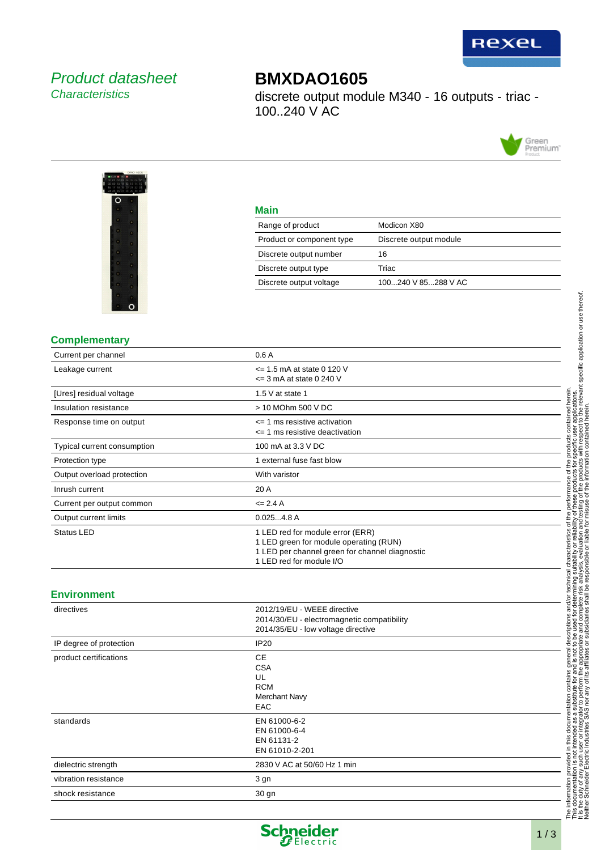

# Product datasheet **Characteristics**

# **BMXDAO1605**

discrete output module M340 - 16 outputs - triac - 100..240 V AC





# **Main**

| Range of product          | Modicon X80            |
|---------------------------|------------------------|
| Product or component type | Discrete output module |
| Discrete output number    | 16                     |
| Discrete output type      | Triac                  |
| Discrete output voltage   | 100240 V 85288 V AC    |

#### **Complementary**

| Current per channel         | 0.6A                                                                                                                                                     |
|-----------------------------|----------------------------------------------------------------------------------------------------------------------------------------------------------|
| Leakage current             | $\le$ 1.5 mA at state 0 120 V<br>$\leq$ 3 mA at state 0 240 V                                                                                            |
| [Ures] residual voltage     | 1.5 $V$ at state 1                                                                                                                                       |
| Insulation resistance       | > 10 MOhm 500 V DC                                                                                                                                       |
| Response time on output     | $\leq$ 1 ms resistive activation<br><= 1 ms resistive deactivation                                                                                       |
| Typical current consumption | 100 mA at 3.3 V DC                                                                                                                                       |
| Protection type             | 1 external fuse fast blow                                                                                                                                |
| Output overload protection  | With varistor                                                                                                                                            |
| Inrush current              | 20 A                                                                                                                                                     |
| Current per output common   | $\leq$ 2.4 A                                                                                                                                             |
| Output current limits       | 0.0254.8A                                                                                                                                                |
| Status LED                  | 1 LED red for module error (ERR)<br>1 LED green for module operating (RUN)<br>1 LED per channel green for channel diagnostic<br>1 LED red for module I/O |

#### **Environment**

| directives              | 2012/19/EU - WEEE directive<br>2014/30/EU - electromagnetic compatibility<br>2014/35/EU - low voltage directive |
|-------------------------|-----------------------------------------------------------------------------------------------------------------|
| IP degree of protection | <b>IP20</b>                                                                                                     |
| product certifications  | <b>CE</b><br><b>CSA</b><br>UL<br><b>RCM</b><br><b>Merchant Navy</b><br><b>EAC</b>                               |
| standards               | EN 61000-6-2<br>EN 61000-6-4<br>EN 61131-2<br>EN 61010-2-201                                                    |
| dielectric strength     | 2830 V AC at 50/60 Hz 1 min                                                                                     |
| vibration resistance    | 3 gn                                                                                                            |
| shock resistance        | 30 gn                                                                                                           |

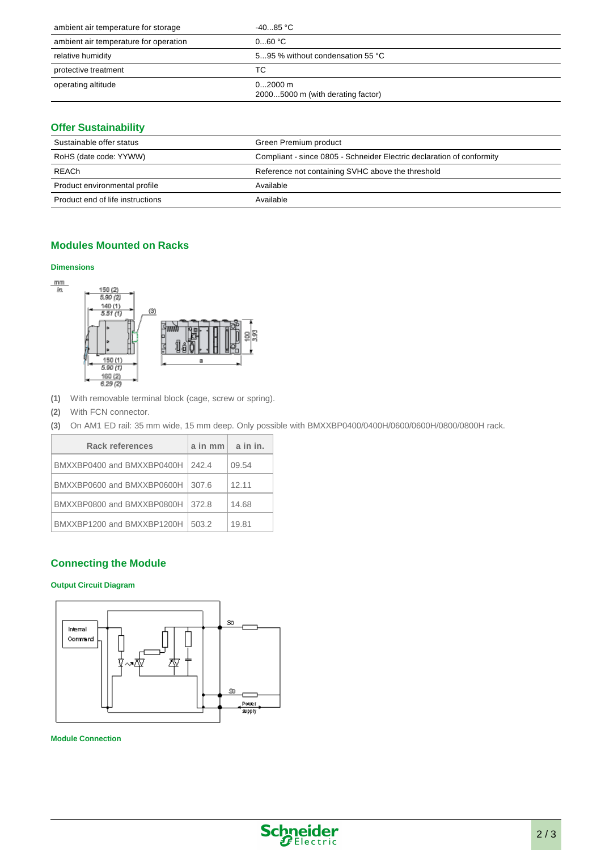| ambient air temperature for storage   | $-4085$ °C                                     |
|---------------------------------------|------------------------------------------------|
| ambient air temperature for operation | 060 °C                                         |
| relative humidity                     | 595 % without condensation 55 °C               |
| protective treatment                  | ТC                                             |
| operating altitude                    | $02000$ m<br>20005000 m (with derating factor) |

## **Offer Sustainability**

| Sustainable offer status         | Green Premium product                                                 |  |
|----------------------------------|-----------------------------------------------------------------------|--|
| RoHS (date code: YYWW)           | Compliant - since 0805 - Schneider Electric declaration of conformity |  |
| <b>REACh</b>                     | Reference not containing SVHC above the threshold                     |  |
| Product environmental profile    | Available                                                             |  |
| Product end of life instructions | Available                                                             |  |

# **Modules Mounted on Racks**

#### **Dimensions**



- **(1)** With removable terminal block (cage, screw or spring).
- **(2)** With FCN connector.
- **(3)** On AM1 ED rail: 35 mm wide, 15 mm deep. Only possible with BMXXBP0400/0400H/0600/0600H/0800/0800H rack.

| <b>Rack references</b>     | a in mm | a in in. |
|----------------------------|---------|----------|
| BMXXBP0400 and BMXXBP0400H | 242.4   | 09.54    |
| BMXXBP0600 and BMXXBP0600H | 307.6   | 12.11    |
| BMXXBP0800 and BMXXBP0800H | 372.8   | 14.68    |
| BMXXBP1200 and BMXXBP1200H | 503.2   | 19.81    |

## **Connecting the Module**

#### **Output Circuit Diagram**



**Module Connection**